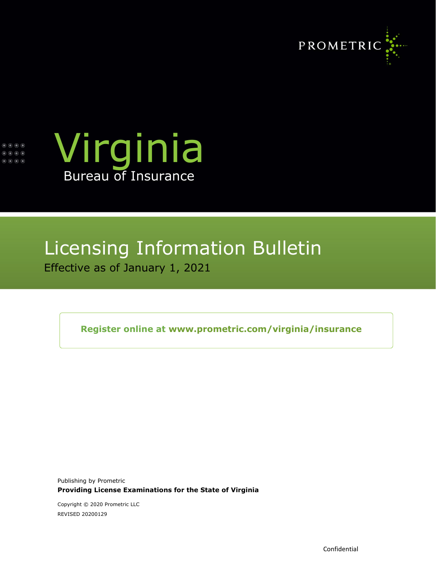





# Licensing Information Bulletin Effective as of January 1, 2021

**Register online at [www.prometric.com/virginia/insurance](http://www.prometric.com/virginia/insurance)**

Publishing by Prometric **Providing License Examinations for the State of Virginia**

Copyright © 2020 Prometric LLC REVISED 20200129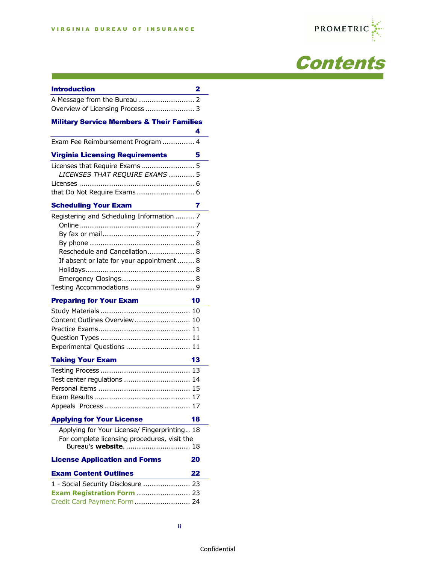the control of the control of the control of the control of the control of the control of





| <b>Introduction</b>                                                                                                                                                                                                                                      | 2  |
|----------------------------------------------------------------------------------------------------------------------------------------------------------------------------------------------------------------------------------------------------------|----|
|                                                                                                                                                                                                                                                          |    |
| Overview of Licensing Process  3                                                                                                                                                                                                                         |    |
| <b>Military Service Members &amp; Their Families</b>                                                                                                                                                                                                     |    |
|                                                                                                                                                                                                                                                          | 4  |
| Exam Fee Reimbursement Program  4                                                                                                                                                                                                                        |    |
| <b>Virginia Licensing Requirements</b>                                                                                                                                                                                                                   | 5  |
| Licenses that Require Exams 5<br>LICENSES THAT REQUIRE EXAMS  5                                                                                                                                                                                          |    |
| <b>Scheduling Your Exam</b>                                                                                                                                                                                                                              | 7  |
| Registering and Scheduling Information  7<br>Reschedule and Cancellation 8<br>If absent or late for your appointment  8<br><b>Preparing for Your Exam</b><br>in the company of the company<br>Content Outlines Overview 10<br>Experimental Questions  11 | 10 |
| <b>Taking Your Exam</b>                                                                                                                                                                                                                                  | 13 |
| Test center regulations  14                                                                                                                                                                                                                              |    |
| <b>Applying for Your License</b>                                                                                                                                                                                                                         | 18 |
| Applying for Your License/ Fingerprinting 18<br>For complete licensing procedures, visit the                                                                                                                                                             |    |
|                                                                                                                                                                                                                                                          |    |
| <b>License Application and Forms</b>                                                                                                                                                                                                                     | 20 |
| <b>Exam Content Outlines</b>                                                                                                                                                                                                                             | 22 |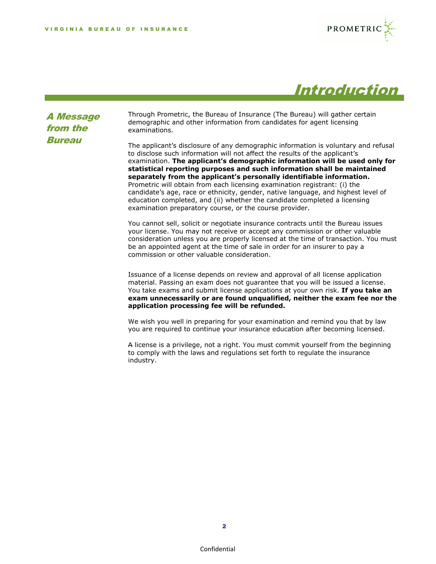



A Message from the **Bureau** 

Through Prometric, the Bureau of Insurance (The Bureau) will gather certain demographic and other information from candidates for agent licensing examinations.

The applicant's disclosure of any demographic information is voluntary and refusal to disclose such information will not affect the results of the applicant's examination. **The applicant's demographic information will be used only for statistical reporting purposes and such information shall be maintained separately from the applicant's personally identifiable information.**  Prometric will obtain from each licensing examination registrant: (i) the candidate's age, race or ethnicity, gender, native language, and highest level of education completed, and (ii) whether the candidate completed a licensing examination preparatory course, or the course provider.

You cannot sell, solicit or negotiate insurance contracts until the Bureau issues your license. You may not receive or accept any commission or other valuable consideration unless you are properly licensed at the time of transaction. You must be an appointed agent at the time of sale in order for an insurer to pay a commission or other valuable consideration.

Issuance of a license depends on review and approval of all license application material. Passing an exam does not guarantee that you will be issued a license. You take exams and submit license applications at your own risk. **If you take an exam unnecessarily or are found unqualified, neither the exam fee nor the application processing fee will be refunded.**

We wish you well in preparing for your examination and remind you that by law you are required to continue your insurance education after becoming licensed.

A license is a privilege, not a right. You must commit yourself from the beginning to comply with the laws and regulations set forth to regulate the insurance industry.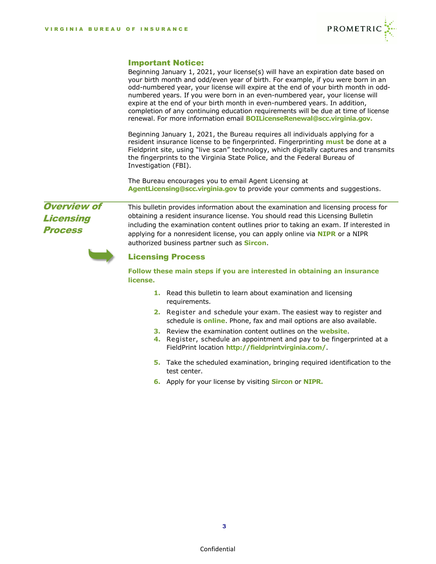

### Important Notice:

Beginning January 1, 2021, your license(s) will have an expiration date based on your birth month and odd/even year of birth. For example, if you were born in an odd-numbered year, your license will expire at the end of your birth month in oddnumbered years. If you were born in an even-numbered year, your license will expire at the end of your birth month in even-numbered years. In addition, completion of any continuing education requirements will be due at time of license renewal. For more information email **[BOILicenseRenewal@scc.virginia.gov.](mailto:BOILicenseRenewal@scc.virginia.gov)**

Beginning January 1, 2021, the Bureau requires all individuals applying for a resident insurance license to be fingerprinted. Fingerprinting **must** be done at a Fieldprint site, using "live scan" technology, which digitally captures and transmits the fingerprints to the Virginia State Police, and the Federal Bureau of Investigation (FBI).

The Bureau encourages you to email Agent Licensing at **AgentLicensing@scc.virginia.gov** to provide your comments and suggestions.

# Overview of **Licensing** Process

This bulletin provides information about the examination and licensing process for obtaining a resident insurance license. You should read this Licensing Bulletin including the examination content outlines prior to taking an exam. If interested in applying for a nonresident license, you can apply online via **[NIPR](http://www.nipr.com/)** or a NIPR authorized business partner such as **[Sircon](http://www.sircon.com/virginia)**.



### Licensing Process

**Follow these main steps if you are interested in obtaining an insurance license.**

- **1.** Read this bulletin to learn about examination and licensing requirements.
- **2.** Register and schedule your exam. The easiest way to register and schedule is **[online](http://www.prometric.com/virginia/insurance)**. Phone, fax and mail options are also available.
- **3.** Review the examination content outlines on the **[website](http://www.prometric.com/virginia/insurance)**.
- **4.** Register, schedule an appointment and pay to be fingerprinted at a FieldPrint location **<http://fieldprintvirginia.com/>**.
- **5.** Take the scheduled examination, bringing required identification to the test center.
- **6.** Apply for your license by visiting **[Sircon](http://www.sircon.com/virginia)** or **[NIPR.](http://www.nipr.com/)**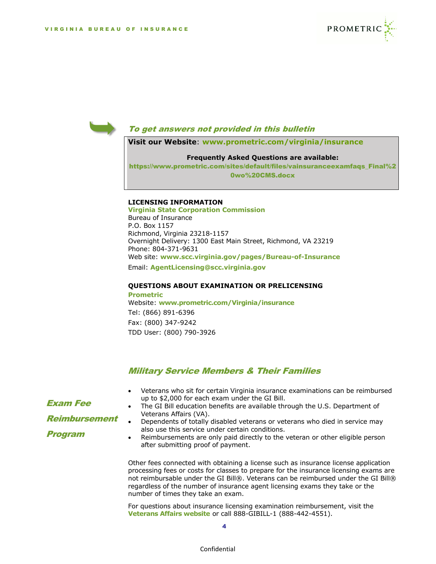



# To get answers not provided in this bulletin

**Visit our Website**: **www.prometric.com/virginia/insurance** 

#### **Frequently Asked Questions are available:**

[https://www.prometric.com/sites/default/files/vainsuranceexamfaqs\\_Final%2](https://www.prometric.com/sites/default/files/vainsuranceexamfaqs_Final%20wo%20CMS.docx) [0wo%20CMS.docx](https://www.prometric.com/sites/default/files/vainsuranceexamfaqs_Final%20wo%20CMS.docx)

#### **LICENSING INFORMATION**

**Virginia State Corporation Commission** Bureau of Insurance P.O. Box 1157 Richmond, Virginia 23218-1157 Overnight Delivery: 1300 East Main Street, Richmond, VA 23219 Phone: 804-371-9631 Web site: **www.scc.virginia.gov/pages/Bureau-of-Insurance**  Email: **[AgentLicensing@scc.virginia.gov](mailto:AgentLicensing@scc.virginia.gov)**

#### **QUESTIONS ABOUT EXAMINATION OR PRELICENSING Prometric**

Website: **[www.prometric.com/Virginia/insurance](http://www.prometric.com/vermont/insurance)** Tel: (866) 891-6396 Fax: (800) 347-9242 TDD User: (800) 790-3926

## Military Service Members & Their Families

- Veterans who sit for certain Virginia insurance examinations can be reimbursed up to \$2,000 for each exam under the GI Bill.
- The GI Bill education benefits are available through the U.S. Department of Veterans Affairs (VA).
- Dependents of totally disabled veterans or veterans who died in service may also use this service under certain conditions.
- Reimbursements are only paid directly to the veteran or other eligible person after submitting proof of payment.

Other fees connected with obtaining a license such as insurance license application processing fees or costs for classes to prepare for the insurance licensing exams are not reimbursable under the GI Bill®. Veterans can be reimbursed under the GI Bill® regardless of the number of insurance agent licensing exams they take or the number of times they take an exam.

For questions about insurance licensing examination reimbursement, visit the **[Veterans Affairs website](http://www.benefits.va.gov/gibill/licensing_certification.asp)** or call 888-GIBILL-1 (888-442-4551).

Exam Fee Reimbursement Program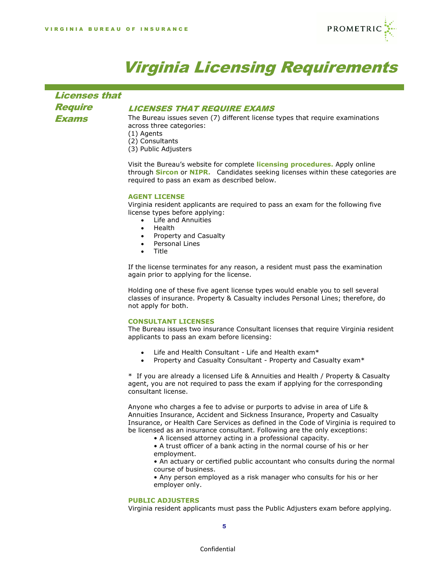

# Virginia Licensing Requirements

Licenses that **Require** Exams

# LICENSES THAT REQUIRE EXAMS

The Bureau issues seven (7) different license types that require examinations across three categories: (1) Agents

- 
- (2) Consultants
- (3) Public Adjusters

Visit the Bureau's website for complete **[licensing procedures.](https://scc.virginia.gov/pages/Applying-for-a-Individual-VA-Insurance-License)** Apply online through **[Sircon](http://www.sircon.com/virginia)** or **[NIPR.](https://nipr.com/)** Candidates seeking licenses within these categories are required to pass an exam as described below.

#### **AGENT LICENSE**

Virginia resident applicants are required to pass an exam for the following five license types before applying:

- Life and Annuities
- Health
- Property and Casualty
- Personal Lines
- Title

If the license terminates for any reason, a resident must pass the examination again prior to applying for the license.

Holding one of these five agent license types would enable you to sell several classes of insurance. Property & Casualty includes Personal Lines; therefore, do not apply for both.

#### **CONSULTANT LICENSES**

The Bureau issues two insurance Consultant licenses that require Virginia resident applicants to pass an exam before licensing:

- Life and Health Consultant Life and Health exam\*
- Property and Casualty Consultant Property and Casualty exam\*

\* If you are already a licensed Life & Annuities and Health / Property & Casualty agent, you are not required to pass the exam if applying for the corresponding consultant license.

Anyone who charges a fee to advise or purports to advise in area of Life & Annuities Insurance, Accident and Sickness Insurance, Property and Casualty Insurance, or Health Care Services as defined in the Code of Virginia is required to be licensed as an insurance consultant. Following are the only exceptions:

• A licensed attorney acting in a professional capacity.

• A trust officer of a bank acting in the normal course of his or her employment.

• An actuary or certified public accountant who consults during the normal course of business.

• Any person employed as a risk manager who consults for his or her employer only.

#### **PUBLIC ADJUSTERS**

Virginia resident applicants must pass the Public Adjusters exam before applying.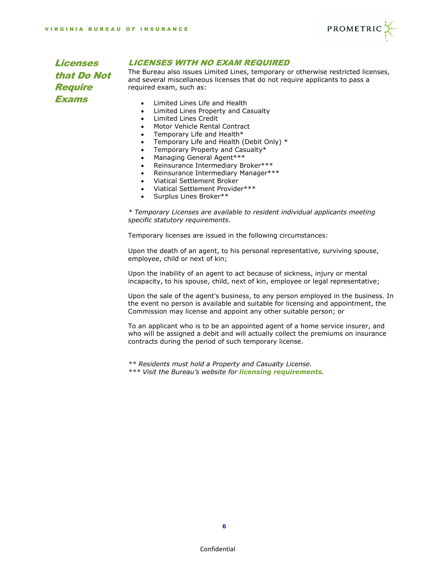

Licenses that Do Not **Require** Exams

# LICENSES WITH NO EXAM REQUIRED

The Bureau also issues Limited Lines, temporary or otherwise restricted licenses, and several miscellaneous licenses that do not require applicants to pass a required exam, such as:

- Limited Lines Life and Health
- Limited Lines Property and Casualty
- Limited Lines Credit
- Motor Vehicle Rental Contract
- Temporary Life and Health\*
- Temporary Life and Health (Debit Only) \*
- Temporary Property and Casualty\*
- Managing General Agent\*\*\*
- Reinsurance Intermediary Broker\*\*\*
- Reinsurance Intermediary Manager\*\*\*
- Viatical Settlement Broker
- Viatical Settlement Provider\*\*\*
- Surplus Lines Broker\*\*

*\* Temporary Licenses are available to resident individual applicants meeting specific statutory requirements.*

Temporary licenses are issued in the following circumstances:

Upon the death of an agent, to his personal representative, surviving spouse, employee, child or next of kin;

Upon the inability of an agent to act because of sickness, injury or mental incapacity, to his spouse, child, next of kin, employee or legal representative;

Upon the sale of the agent's business, to any person employed in the business. In the event no person is available and suitable for licensing and appointment, the Commission may license and appoint any other suitable person; or

To an applicant who is to be an appointed agent of a home service insurer, and who will be assigned a debit and will actually collect the premiums on insurance contracts during the period of such temporary license.

*\*\* Residents must hold a Property and Casualty License. \*\*\* Visit the Bureau's website for [licensing requirements](https://scc.virginia.gov/pages/Company-Licensing-and-Registration-Procedures).*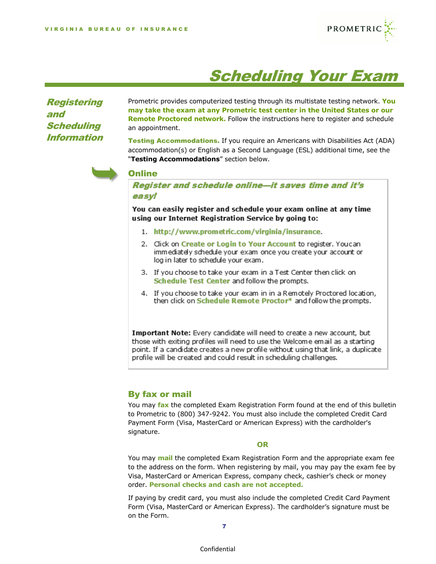

# Scheduling Your Exam

**Registering** and **Scheduling** Information

Prometric provides computerized testing through its multistate testing network. **You may take the exam at any Prometric test center in the United States or our Remote Proctored network.** Follow the instructions here to register and schedule an appointment.

Testing Accommodations. If you require an Americans with Disabilities Act (ADA) accommodation(s) or English as a Second Language (ESL) additional time, see the "**Testing Accommodations**" section below.



# **Online**

Register and schedule online-it saves time and it's easyl

You can easily register and schedule your exam online at any time using our Internet Registration Service by going to:

- 1. http://www.prometric.com/virginia/insurance.
- 2. Click on Create or Login to Your Account to register. Youcan immediately schedule your exam once you create your account or log in later to schedule your exam.
- 3. If you choose to take your exam in a Test Center then click on Schedule Test Center and follow the prompts.
- 4. If you choose to take your exam in in a Remotely Proctored location, then click on Schedule Remote Proctor\* and follow the prompts.

Important Note: Every candidate will need to create a new account, but those with exiting profiles will need to use the Welcome email as a starting point. If a candidate creates a new profile without using that link, a duplicate profile will be created and could result in scheduling challenges.

# By fax or mail

You may **fax** the completed Exam Registration Form found at the end of this bulletin to Prometric to (800) 347-9242. You must also include the completed Credit Card Payment Form (Visa, MasterCard or American Express) with the cardholder's signature.

#### **OR**

You may **mail** the completed Exam Registration Form and the appropriate exam fee to the address on the form. When registering by mail, you may pay the exam fee by Visa, MasterCard or American Express, company check, cashier's check or money order. **Personal checks and cash are not accepted.**

If paying by credit card, you must also include the completed Credit Card Payment Form (Visa, MasterCard or American Express). The cardholder's signature must be on the Form.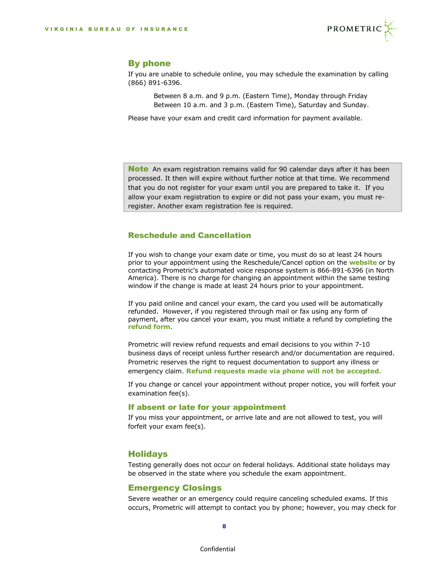

# By phone

If you are unable to schedule online, you may schedule the examination by calling (866) 891-6396.

> Between 8 a.m. and 9 p.m. (Eastern Time), Monday through Friday Between 10 a.m. and 3 p.m. (Eastern Time), Saturday and Sunday.

Please have your exam and credit card information for payment available.

**Note** An exam registration remains valid for 90 calendar days after it has been processed. It then will expire without further notice at that time. We recommend that you do not register for your exam until you are prepared to take it. If you allow your exam registration to expire or did not pass your exam, you must reregister. Another exam registration fee is required.

# Reschedule and Cancellation

If you wish to change your exam date or time, you must do so at least 24 hours prior to your appointment using the Reschedule/Cancel option on the **[website](http://www.prometric.com/virginia/insurance)** or by contacting Prometric's automated voice response system is 866-891-6396 (in North America). There is no charge for changing an appointment within the same testing window if the change is made at least 24 hours prior to your appointment.

If you paid online and cancel your exam, the card you used will be automatically refunded. However, if you registered through mail or fax using any form of payment, after you cancel your exam, you must initiate a refund by completing the **[refund form](https://fs6.formsite.com/Prometric/form33/index.html)**.

Prometric will review refund requests and email decisions to you within 7-10 business days of receipt unless further research and/or documentation are required. Prometric reserves the right to request documentation to support any illness or emergency claim. **Refund requests made via phone will not be accepted.**

If you change or cancel your appointment without proper notice, you will forfeit your examination fee(s).

### If absent or late for your appointment

If you miss your appointment, or arrive late and are not allowed to test, you will forfeit your exam fee(s).

# Holidays

Testing generally does not occur on federal holidays. Additional state holidays may be observed in the state where you schedule the exam appointment.

# Emergency Closings

Severe weather or an emergency could require canceling scheduled exams. If this occurs, Prometric will attempt to contact you by phone; however, you may check for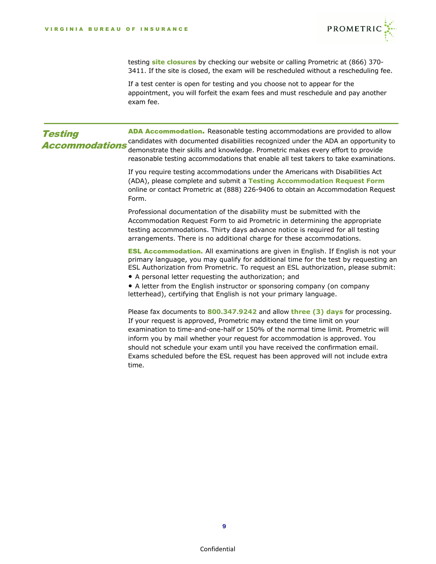

testing **[site closures](https://www.prometric.com/closures)** by checking our website or calling Prometric at (866) 370- 3411. If the site is closed, the exam will be rescheduled without a rescheduling fee.

If a test center is open for testing and you choose not to appear for the appointment, you will forfeit the exam fees and must reschedule and pay another exam fee.

| <b>Testing</b><br><b>Accommodations</b> | ADA Accommodation. Reasonable testing accommodations are provided to allow<br>candidates with documented disabilities recognized under the ADA an opportunity to<br>demonstrate their skills and knowledge. Prometric makes every effort to provide<br>reasonable testing accommodations that enable all test takers to take examinations.                                                                                                                                                                |
|-----------------------------------------|-----------------------------------------------------------------------------------------------------------------------------------------------------------------------------------------------------------------------------------------------------------------------------------------------------------------------------------------------------------------------------------------------------------------------------------------------------------------------------------------------------------|
|                                         | If you require testing accommodations under the Americans with Disabilities Act<br>(ADA), please complete and submit a Testing Accommodation Request Form<br>online or contact Prometric at (888) 226-9406 to obtain an Accommodation Request<br>Form.                                                                                                                                                                                                                                                    |
|                                         | Professional documentation of the disability must be submitted with the<br>Accommodation Request Form to aid Prometric in determining the appropriate<br>testing accommodations. Thirty days advance notice is required for all testing<br>arrangements. There is no additional charge for these accommodations.                                                                                                                                                                                          |
|                                         | <b>ESL Accommodation.</b> All examinations are given in English. If English is not your<br>primary language, you may qualify for additional time for the test by requesting an<br>ESL Authorization from Prometric. To request an ESL authorization, please submit:<br>• A personal letter requesting the authorization; and                                                                                                                                                                              |
|                                         | • A letter from the English instructor or sponsoring company (on company<br>letterhead), certifying that English is not your primary language.                                                                                                                                                                                                                                                                                                                                                            |
|                                         | Please fax documents to 800.347.9242 and allow three (3) days for processing.<br>If your request is approved, Prometric may extend the time limit on your<br>examination to time-and-one-half or 150% of the normal time limit. Prometric will<br>inform you by mail whether your request for accommodation is approved. You<br>should not schedule your exam until you have received the confirmation email.<br>Exams scheduled before the ESL request has been approved will not include extra<br>time. |
|                                         |                                                                                                                                                                                                                                                                                                                                                                                                                                                                                                           |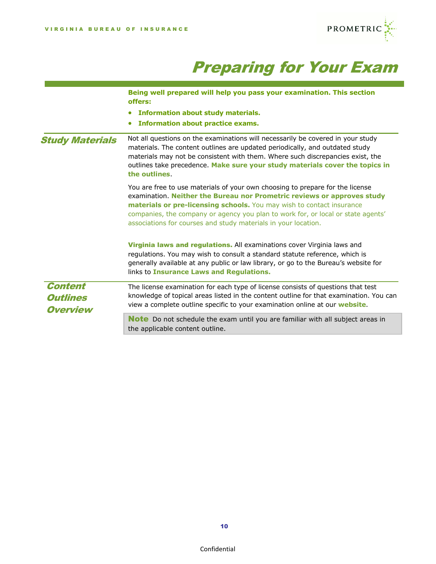![](_page_10_Picture_1.jpeg)

# Preparing for Your Exam

|                                                      | Being well prepared will help you pass your examination. This section<br>offers:                                                                                                                                                                                                                                                                                                        |
|------------------------------------------------------|-----------------------------------------------------------------------------------------------------------------------------------------------------------------------------------------------------------------------------------------------------------------------------------------------------------------------------------------------------------------------------------------|
|                                                      | <b>Information about study materials.</b>                                                                                                                                                                                                                                                                                                                                               |
|                                                      | <b>Information about practice exams.</b><br>$\bullet$                                                                                                                                                                                                                                                                                                                                   |
| <b>Study Materials</b>                               | Not all questions on the examinations will necessarily be covered in your study<br>materials. The content outlines are updated periodically, and outdated study<br>materials may not be consistent with them. Where such discrepancies exist, the<br>outlines take precedence. Make sure your study materials cover the topics in<br>the outlines.                                      |
|                                                      | You are free to use materials of your own choosing to prepare for the license<br>examination. Neither the Bureau nor Prometric reviews or approves study<br>materials or pre-licensing schools. You may wish to contact insurance<br>companies, the company or agency you plan to work for, or local or state agents'<br>associations for courses and study materials in your location. |
|                                                      | Virginia laws and regulations. All examinations cover Virginia laws and<br>regulations. You may wish to consult a standard statute reference, which is<br>generally available at any public or law library, or go to the Bureau's website for<br>links to Insurance Laws and Regulations.                                                                                               |
| <b>Content</b><br><b>Outlines</b><br><b>Overview</b> | The license examination for each type of license consists of questions that test<br>knowledge of topical areas listed in the content outline for that examination. You can<br>view a complete outline specific to your examination online at our website.                                                                                                                               |
|                                                      | <b>Note</b> Do not schedule the exam until you are familiar with all subject areas in<br>the applicable content outline.                                                                                                                                                                                                                                                                |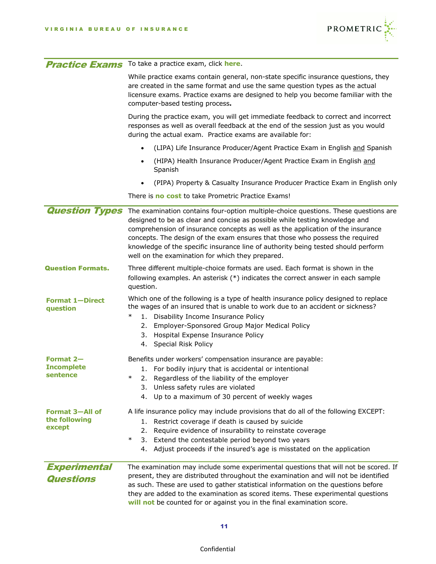![](_page_11_Picture_1.jpeg)

|                                                   | <b>Practice Exams</b> To take a practice exam, click here.                                                                                                                                                                                                                                                                                                                                                                                                                     |
|---------------------------------------------------|--------------------------------------------------------------------------------------------------------------------------------------------------------------------------------------------------------------------------------------------------------------------------------------------------------------------------------------------------------------------------------------------------------------------------------------------------------------------------------|
|                                                   | While practice exams contain general, non-state specific insurance questions, they<br>are created in the same format and use the same question types as the actual<br>licensure exams. Practice exams are designed to help you become familiar with the<br>computer-based testing process.                                                                                                                                                                                     |
|                                                   | During the practice exam, you will get immediate feedback to correct and incorrect<br>responses as well as overall feedback at the end of the session just as you would<br>during the actual exam. Practice exams are available for:                                                                                                                                                                                                                                           |
|                                                   | (LIPA) Life Insurance Producer/Agent Practice Exam in English and Spanish                                                                                                                                                                                                                                                                                                                                                                                                      |
|                                                   | (HIPA) Health Insurance Producer/Agent Practice Exam in English and<br>Spanish                                                                                                                                                                                                                                                                                                                                                                                                 |
|                                                   | (PIPA) Property & Casualty Insurance Producer Practice Exam in English only                                                                                                                                                                                                                                                                                                                                                                                                    |
|                                                   | There is <b>no cost</b> to take Prometric Practice Exams!                                                                                                                                                                                                                                                                                                                                                                                                                      |
| <b>Question Types</b>                             | The examination contains four-option multiple-choice questions. These questions are<br>designed to be as clear and concise as possible while testing knowledge and<br>comprehension of insurance concepts as well as the application of the insurance<br>concepts. The design of the exam ensures that those who possess the required<br>knowledge of the specific insurance line of authority being tested should perform<br>well on the examination for which they prepared. |
| <b>Question Formats.</b>                          | Three different multiple-choice formats are used. Each format is shown in the<br>following examples. An asterisk (*) indicates the correct answer in each sample<br>question.                                                                                                                                                                                                                                                                                                  |
| <b>Format 1-Direct</b><br>question                | Which one of the following is a type of health insurance policy designed to replace<br>the wages of an insured that is unable to work due to an accident or sickness?<br>$\ast$<br>1. Disability Income Insurance Policy<br>2. Employer-Sponsored Group Major Medical Policy<br>3. Hospital Expense Insurance Policy<br>4. Special Risk Policy                                                                                                                                 |
| Format 2-<br><b>Incomplete</b><br>sentence        | Benefits under workers' compensation insurance are payable:<br>1. For bodily injury that is accidental or intentional<br>Regardless of the liability of the employer<br>$\ast$<br>2.<br>Unless safety rules are violated<br>3.<br>4. Up to a maximum of 30 percent of weekly wages                                                                                                                                                                                             |
| <b>Format 3-All of</b><br>the following<br>except | A life insurance policy may include provisions that do all of the following EXCEPT:<br>1. Restrict coverage if death is caused by suicide<br>Require evidence of insurability to reinstate coverage<br>2.<br>$\ast$<br>Extend the contestable period beyond two years<br>3.<br>4. Adjust proceeds if the insured's age is misstated on the application                                                                                                                         |
| <b>Experimental</b><br><b>Questions</b>           | The examination may include some experimental questions that will not be scored. If<br>present, they are distributed throughout the examination and will not be identified<br>as such. These are used to gather statistical information on the questions before<br>they are added to the examination as scored items. These experimental questions<br>will not be counted for or against you in the final examination score.                                                   |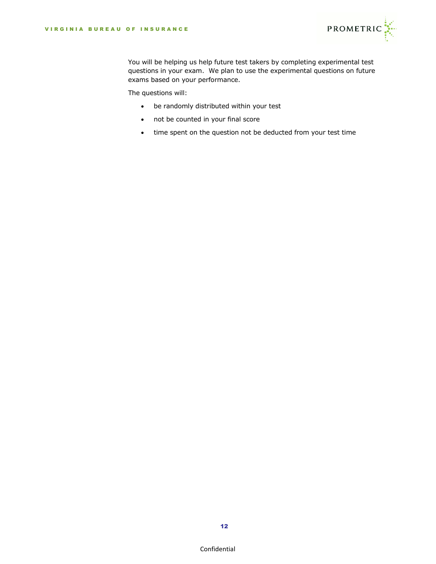![](_page_12_Picture_1.jpeg)

You will be helping us help future test takers by completing experimental test questions in your exam. We plan to use the experimental questions on future exams based on your performance.

The questions will:

- be randomly distributed within your test
- not be counted in your final score
- time spent on the question not be deducted from your test time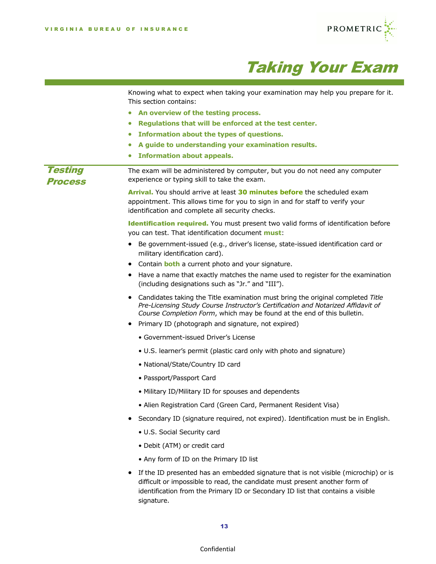![](_page_13_Picture_1.jpeg)

![](_page_13_Picture_2.jpeg)

|                                  | Knowing what to expect when taking your examination may help you prepare for it.<br>This section contains:                                                                                                                                                          |
|----------------------------------|---------------------------------------------------------------------------------------------------------------------------------------------------------------------------------------------------------------------------------------------------------------------|
|                                  | An overview of the testing process.<br>$\bullet$                                                                                                                                                                                                                    |
|                                  | Regulations that will be enforced at the test center.<br>$\bullet$                                                                                                                                                                                                  |
|                                  | Information about the types of questions.<br>$\bullet$                                                                                                                                                                                                              |
|                                  | A guide to understanding your examination results.<br>$\bullet$                                                                                                                                                                                                     |
|                                  | <b>Information about appeals.</b><br>$\bullet$                                                                                                                                                                                                                      |
| <b>Testing</b><br><b>Process</b> | The exam will be administered by computer, but you do not need any computer<br>experience or typing skill to take the exam.                                                                                                                                         |
|                                  | Arrival. You should arrive at least 30 minutes before the scheduled exam<br>appointment. This allows time for you to sign in and for staff to verify your<br>identification and complete all security checks.                                                       |
|                                  | Identification required. You must present two valid forms of identification before<br>you can test. That identification document must:                                                                                                                              |
|                                  | • Be government-issued (e.g., driver's license, state-issued identification card or<br>military identification card).                                                                                                                                               |
|                                  | Contain <b>both</b> a current photo and your signature.<br>٠                                                                                                                                                                                                        |
|                                  | Have a name that exactly matches the name used to register for the examination<br>٠<br>(including designations such as "Jr." and "III").                                                                                                                            |
|                                  | Candidates taking the Title examination must bring the original completed Title<br>٠<br>Pre-Licensing Study Course Instructor's Certification and Notarized Affidavit of<br>Course Completion Form, which may be found at the end of this bulletin.                 |
|                                  | Primary ID (photograph and signature, not expired)                                                                                                                                                                                                                  |
|                                  | • Government-issued Driver's License                                                                                                                                                                                                                                |
|                                  | • U.S. learner's permit (plastic card only with photo and signature)                                                                                                                                                                                                |
|                                  | • National/State/Country ID card                                                                                                                                                                                                                                    |
|                                  | • Passport/Passport Card                                                                                                                                                                                                                                            |
|                                  | • Military ID/Military ID for spouses and dependents                                                                                                                                                                                                                |
|                                  | • Alien Registration Card (Green Card, Permanent Resident Visa)                                                                                                                                                                                                     |
|                                  | Secondary ID (signature required, not expired). Identification must be in English.                                                                                                                                                                                  |
|                                  | • U.S. Social Security card                                                                                                                                                                                                                                         |
|                                  | • Debit (ATM) or credit card                                                                                                                                                                                                                                        |
|                                  | • Any form of ID on the Primary ID list                                                                                                                                                                                                                             |
|                                  | If the ID presented has an embedded signature that is not visible (microchip) or is<br>difficult or impossible to read, the candidate must present another form of<br>identification from the Primary ID or Secondary ID list that contains a visible<br>signature. |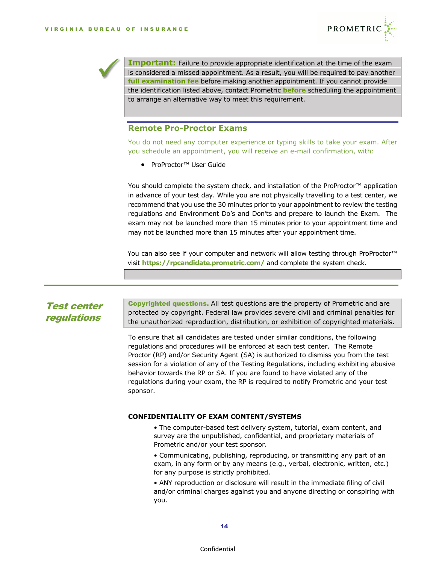![](_page_14_Picture_1.jpeg)

**Important:** Failure to provide appropriate identification at the time of the exam is considered a missed appointment. As a result, you will be required to pay another **full examination fee** before making another appointment. If you cannot provide the identification listed above, contact Prometric **before** scheduling the appointment to arrange an alternative way to meet this requirement.

# **Remote Pro-Proctor Exams**

You do not need any computer experience or typing skills to take your exam. After you schedule an appointment, you will receive an e-mail confirmation, with:

• ProProctor™ User Guide

You should complete the system check, and installation of the ProProctor<sup>™</sup> application in advance of your test day. While you are not physically travelling to a test center, we recommend that you use the 30 minutes prior to your appointment to review the testing regulations and Environment Do's and Don'ts and prepare to launch the Exam. The exam may not be launched more than 15 minutes prior to your appointment time and may not be launched more than 15 minutes after your appointment time.

You can also see if your computer and network will allow testing through ProProctor<sup>™</sup> visit **<https://rpcandidate.prometric.com/>** and complete the system check.

# Test center regulations

Copyrighted questions. All test questions are the property of Prometric and are protected by copyright. Federal law provides severe civil and criminal penalties for the unauthorized reproduction, distribution, or exhibition of copyrighted materials.

To ensure that all candidates are tested under similar conditions, the following regulations and procedures will be enforced at each test center. The Remote Proctor (RP) and/or Security Agent (SA) is authorized to dismiss you from the test session for a violation of any of the Testing Regulations, including exhibiting abusive behavior towards the RP or SA. If you are found to have violated any of the regulations during your exam, the RP is required to notify Prometric and your test sponsor.

#### **CONFIDENTIALITY OF EXAM CONTENT/SYSTEMS**

• The computer-based test delivery system, tutorial, exam content, and survey are the unpublished, confidential, and proprietary materials of Prometric and/or your test sponsor.

• Communicating, publishing, reproducing, or transmitting any part of an exam, in any form or by any means (e.g., verbal, electronic, written, etc.) for any purpose is strictly prohibited.

• ANY reproduction or disclosure will result in the immediate filing of civil and/or criminal charges against you and anyone directing or conspiring with you.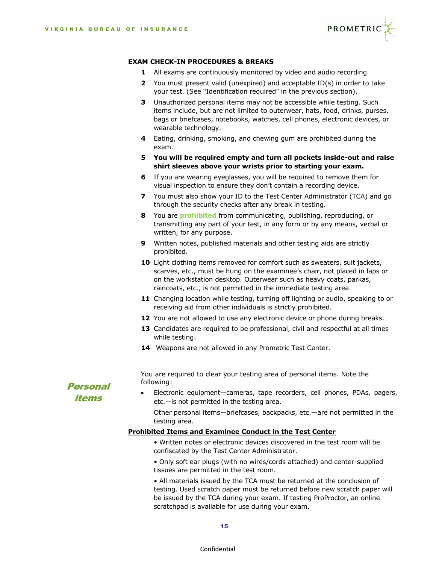![](_page_15_Picture_1.jpeg)

#### **EXAM CHECK-IN PROCEDURES & BREAKS**

- **1** All exams are continuously monitored by video and audio recording.
- **2** You must present valid (unexpired) and acceptable ID(s) in order to take your test. (See "Identification required" in the previous section).
- **3** Unauthorized personal items may not be accessible while testing. Such items include, but are not limited to outerwear, hats, food, drinks, purses, bags or briefcases, notebooks, watches, cell phones, electronic devices, or wearable technology.
- **4** Eating, drinking, smoking, and chewing gum are prohibited during the exam.
- **5 You will be required empty and turn all pockets inside-out and raise shirt sleeves above your wrists prior to starting your exam.**
- **6** If you are wearing eyeglasses, you will be required to remove them for visual inspection to ensure they don't contain a recording device.
- **7** You must also show your ID to the Test Center Administrator (TCA) and go through the security checks after any break in testing.
- **8** You are **prohibited** from communicating, publishing, reproducing, or transmitting any part of your test, in any form or by any means, verbal or written, for any purpose.
- **9** Written notes, published materials and other testing aids are strictly prohibited.
- **10** Light clothing items removed for comfort such as sweaters, suit jackets, scarves, etc., must be hung on the examinee's chair, not placed in laps or on the workstation desktop. Outerwear such as heavy coats, parkas, raincoats, etc., is not permitted in the immediate testing area.
- **11** Changing location while testing, turning off lighting or audio, speaking to or receiving aid from other individuals is strictly prohibited.
- **12** You are not allowed to use any electronic device or phone during breaks.
- **13** Candidates are required to be professional, civil and respectful at all times while testing.
- **14** Weapons are not allowed in any Prometric Test Center.

You are required to clear your testing area of personal items. Note the following:

- **Personal** items
- Electronic equipment—cameras, tape recorders, cell phones, PDAs, pagers, etc.—is not permitted in the testing area.

Other personal items—briefcases, backpacks, etc.—are not permitted in the testing area.

## **Prohibited Items and Examinee Conduct in the Test Center**

• Written notes or electronic devices discovered in the test room will be confiscated by the Test Center Administrator.

• Only soft ear plugs (with no wires/cords attached) and center-supplied tissues are permitted in the test room.

• All materials issued by the TCA must be returned at the conclusion of testing. Used scratch paper must be returned before new scratch paper will be issued by the TCA during your exam. If testing ProProctor, an online scratchpad is available for use during your exam.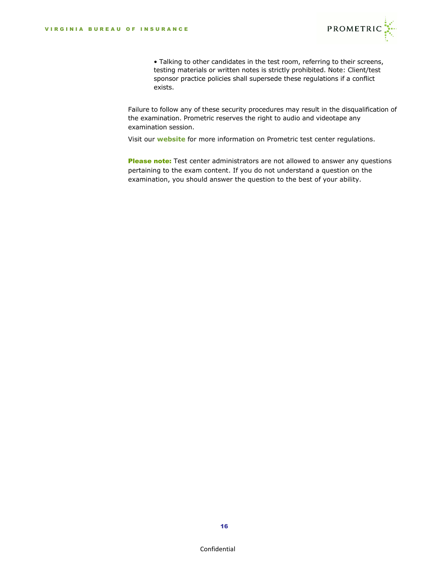![](_page_16_Picture_1.jpeg)

• Talking to other candidates in the test room, referring to their screens, testing materials or written notes is strictly prohibited. Note: Client/test sponsor practice policies shall supersede these regulations if a conflict exists.

Failure to follow any of these security procedures may result in the disqualification of the examination. Prometric reserves the right to audio and videotape any examination session.

Visit our **[website](https://www.prometric.com/sites/default/files/TestCenterRegulations.pdf)** for more information on Prometric test center regulations.

Please note: Test center administrators are not allowed to answer any questions pertaining to the exam content. If you do not understand a question on the examination, you should answer the question to the best of your ability.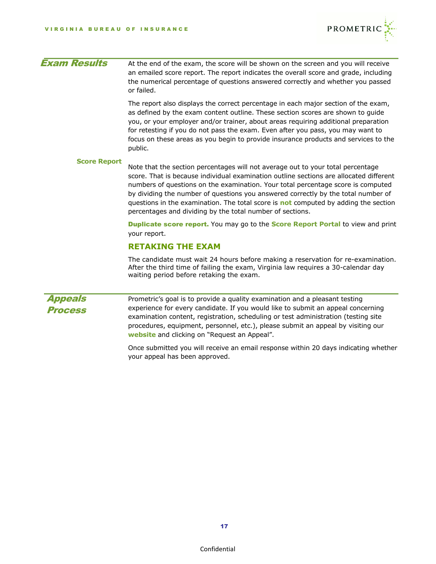![](_page_17_Picture_1.jpeg)

| <b>Exam Results</b> | At the end of the exam, the score will be shown on the screen and you will receive<br>an emailed score report. The report indicates the overall score and grade, including<br>the numerical percentage of questions answered correctly and whether you passed<br>or failed.                                                                                                                                                                                                                            |
|---------------------|--------------------------------------------------------------------------------------------------------------------------------------------------------------------------------------------------------------------------------------------------------------------------------------------------------------------------------------------------------------------------------------------------------------------------------------------------------------------------------------------------------|
|                     | The report also displays the correct percentage in each major section of the exam,<br>as defined by the exam content outline. These section scores are shown to guide<br>you, or your employer and/or trainer, about areas requiring additional preparation<br>for retesting if you do not pass the exam. Even after you pass, you may want to<br>focus on these areas as you begin to provide insurance products and services to the<br>public.                                                       |
| <b>Score Report</b> | Note that the section percentages will not average out to your total percentage<br>score. That is because individual examination outline sections are allocated different<br>numbers of questions on the examination. Your total percentage score is computed<br>by dividing the number of questions you answered correctly by the total number of<br>questions in the examination. The total score is not computed by adding the section<br>percentages and dividing by the total number of sections. |
|                     | <b>Duplicate score report.</b> You may go to the <b>Score Report Portal</b> to view and print<br>your report.                                                                                                                                                                                                                                                                                                                                                                                          |
|                     | <b>RETAKING THE EXAM</b>                                                                                                                                                                                                                                                                                                                                                                                                                                                                               |
|                     | The candidate must wait 24 hours before making a reservation for re-examination.<br>After the third time of failing the exam, Virginia law requires a 30-calendar day<br>waiting period before retaking the exam.                                                                                                                                                                                                                                                                                      |
| <b>Appeals</b>      | Prometric's goal is to provide a quality examination and a pleasant testing                                                                                                                                                                                                                                                                                                                                                                                                                            |
| <b>Process</b>      | experience for every candidate. If you would like to submit an appeal concerning<br>examination content, registration, scheduling or test administration (testing site<br>procedures, equipment, personnel, etc.), please submit an appeal by visiting our<br>website and clicking on "Request an Appeal".                                                                                                                                                                                             |
|                     |                                                                                                                                                                                                                                                                                                                                                                                                                                                                                                        |

Once submitted you will receive an email response within 20 days indicating whether your appeal has been approved.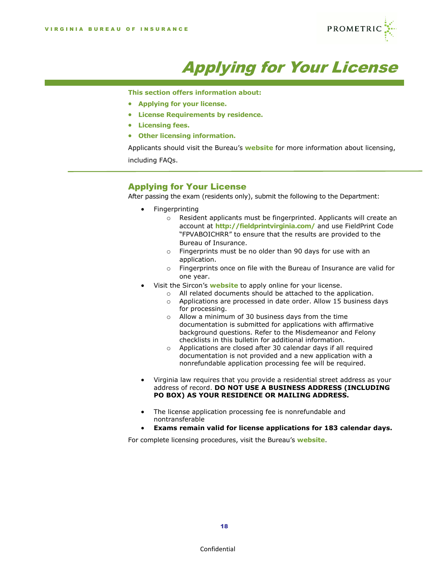![](_page_18_Picture_1.jpeg)

![](_page_18_Picture_2.jpeg)

**This section offers information about:**

- **Applying for your license.**
- **License Requirements by residence.**
- **Licensing fees.**

ī

• **Other licensing information.**

Applicants should visit the Bureau's **[website](https://scc.virginia.gov/pages/Bureau-of-Insurance)** for more information about licensing, including FAQs.

## Applying for Your License

After passing the exam (residents only), submit the following to the Department:

- Fingerprinting
	- o Resident applicants must be fingerprinted. Applicants will create an account at **<http://fieldprintvirginia.com/>** and use FieldPrint Code "FPVABOICHRR" to ensure that the results are provided to the Bureau of Insurance.
	- o Fingerprints must be no older than 90 days for use with an application.
	- $\circ$  Fingerprints once on file with the Bureau of Insurance are valid for one year.
- Visit the Sircon's **[website](http://www.sircon.com/virginia)** to apply online for your license.
	- o All related documents should be attached to the application.
	- o Applications are processed in date order. Allow 15 business days for processing.
	- o Allow a minimum of 30 business days from the time documentation is submitted for applications with affirmative background questions. Refer to the Misdemeanor and Felony checklists in this bulletin for additional information.
	- o Applications are closed after 30 calendar days if all required documentation is not provided and a new application with a nonrefundable application processing fee will be required.
- Virginia law requires that you provide a residential street address as your address of record. **DO NOT USE A BUSINESS ADDRESS (INCLUDING PO BOX) AS YOUR RESIDENCE OR MAILING ADDRESS.**
- The license application processing fee is nonrefundable and nontransferable
- **Exams remain valid for license applications for 183 calendar days.**

For complete licensing procedures, visit the Bureau's **[website](https://www.scc.virginia.gov/pages/Bureau-of-Insurance)**.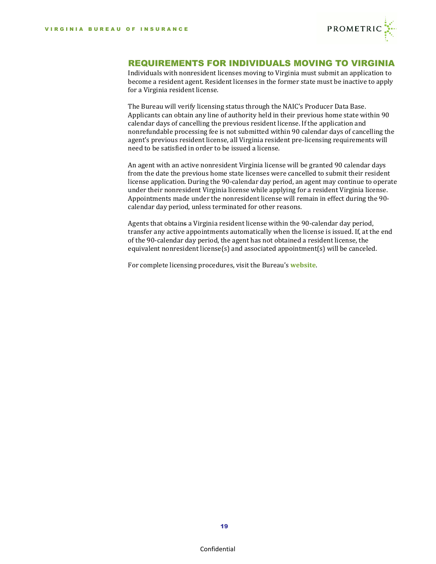![](_page_19_Picture_1.jpeg)

# REQUIREMENTS FOR INDIVIDUALS MOVING TO VIRGINIA

Individuals with nonresident licenses moving to Virginia must submit an application to become a resident agent. Resident licenses in the former state must be inactive to apply for a Virginia resident license.

The Bureau will verify licensing status through the NAIC's Producer Data Base. Applicants can obtain any line of authority held in their previous home state within 90 calendar days of cancelling the previous resident license. If the application and nonrefundable processing fee is not submitted within 90 calendar days of cancelling the agent's previous resident license, all Virginia resident pre-licensing requirements will need to be satisfied in order to be issued a license.

An agent with an active nonresident Virginia license will be granted 90 calendar days from the date the previous home state licenses were cancelled to submit their resident license application. During the 90-calendar day period, an agent may continue to operate under their nonresident Virginia license while applying for a resident Virginia license. Appointments made under the nonresident license will remain in effect during the 90 calendar day period, unless terminated for other reasons.

Agents that obtains a Virginia resident license within the 90-calendar day period, transfer any active appointments automatically when the license is issued. If, at the end of the 90-calendar day period, the agent has not obtained a resident license, the equivalent nonresident license(s) and associated appointment(s) will be canceled.

For complete licensing procedures, visit the Bureau's **[website](https://scc.virginia.gov/pages/Bureau-of-Insurance)**.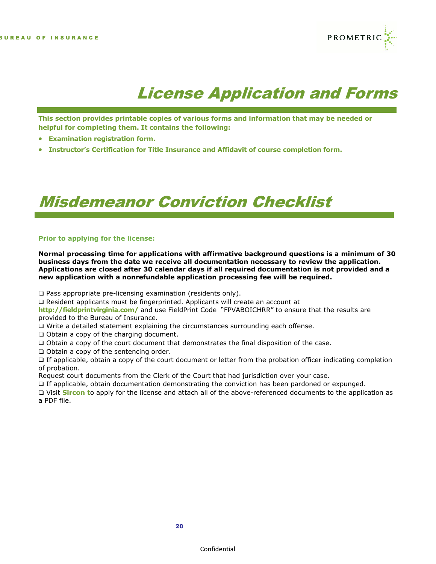![](_page_20_Picture_1.jpeg)

# License Application and Forms

**This section provides printable copies of various forms and information that may be needed or helpful for completing them. It contains the following:**

- **Examination registration form.**
- **Instructor's Certification for Title Insurance and Affidavit of course completion form.**

# Misdemeanor Conviction Checklist

#### **Prior to applying for the license:**

**Normal processing time for applications with affirmative background questions is a minimum of 30 business days from the date we receive all documentation necessary to review the application. Applications are closed after 30 calendar days if all required documentation is not provided and a new application with a nonrefundable application processing fee will be required.**

- ❑ Pass appropriate pre-licensing examination (residents only).
- ❑ Resident applicants must be fingerprinted. Applicants will create an account at

**<http://fieldprintvirginia.com/>** and use FieldPrint Code "FPVABOICHRR" to ensure that the results are provided to the Bureau of Insurance.

- ❑ Write a detailed statement explaining the circumstances surrounding each offense.
- ❑ Obtain a copy of the charging document.
- ❑ Obtain a copy of the court document that demonstrates the final disposition of the case.
- ❑ Obtain a copy of the sentencing order.

❑ If applicable, obtain a copy of the court document or letter from the probation officer indicating completion of probation.

Request court documents from the Clerk of the Court that had jurisdiction over your case.

❑ If applicable, obtain documentation demonstrating the conviction has been pardoned or expunged.

❑ Visit **[Sircon](http://www.sircon.com/virginia) t**o apply for the license and attach all of the above-referenced documents to the application as a PDF file.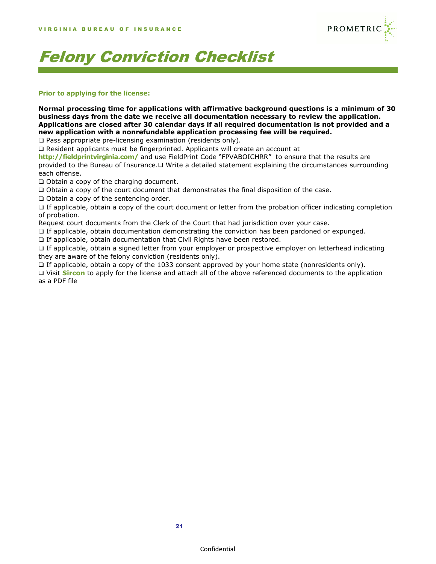![](_page_21_Picture_1.jpeg)

# Felony Conviction Checklist

### **Prior to applying for the license:**

**Normal processing time for applications with affirmative background questions is a minimum of 30 business days from the date we receive all documentation necessary to review the application. Applications are closed after 30 calendar days if all required documentation is not provided and a new application with a nonrefundable application processing fee will be required.**

❑ Pass appropriate pre-licensing examination (residents only).

❑ Resident applicants must be fingerprinted. Applicants will create an account at

**<http://fieldprintvirginia.com/>** and use FieldPrint Code "FPVABOICHRR" to ensure that the results are provided to the Bureau of Insurance.❑ Write a detailed statement explaining the circumstances surrounding each offense.

❑ Obtain a copy of the charging document.

❑ Obtain a copy of the court document that demonstrates the final disposition of the case.

❑ Obtain a copy of the sentencing order.

❑ If applicable, obtain a copy of the court document or letter from the probation officer indicating completion of probation.

Request court documents from the Clerk of the Court that had jurisdiction over your case.

❑ If applicable, obtain documentation demonstrating the conviction has been pardoned or expunged.

□ If applicable, obtain documentation that Civil Rights have been restored.

❑ If applicable, obtain a signed letter from your employer or prospective employer on letterhead indicating they are aware of the felony conviction (residents only).

❑ If applicable, obtain a copy of the 1033 consent approved by your home state (nonresidents only).

❑ Visit **[Sircon](http://www.sircon.com/virginia)** to apply for the license and attach all of the above referenced documents to the application as a PDF file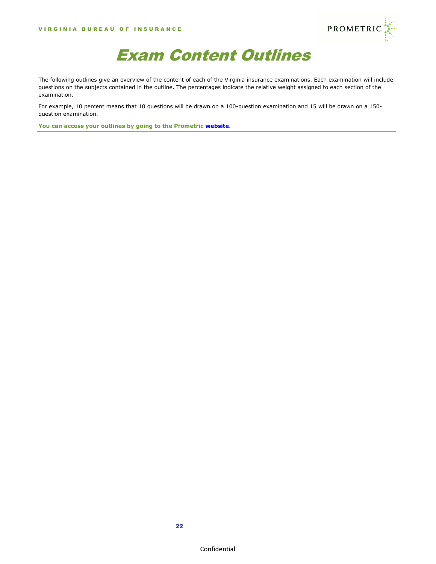![](_page_22_Picture_1.jpeg)

![](_page_22_Picture_2.jpeg)

The following outlines give an overview of the content of each of the Virginia insurance examinations. Each examination will include questions on the subjects contained in the outline. The percentages indicate the relative weight assigned to each section of the examination.

For example, 10 percent means that 10 questions will be drawn on a 100-question examination and 15 will be drawn on a 150 question examination.

**You can access your outlines by going to the Prometric [website.](http://www.prometric.com/Virginia/insurance)**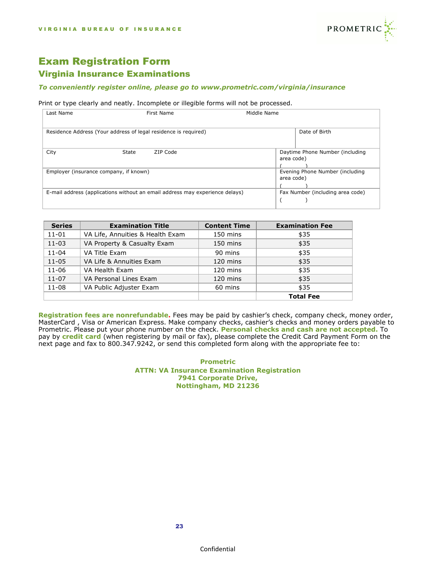![](_page_23_Picture_1.jpeg)

# Exam Registration Form Virginia Insurance Examinations

#### *To conveniently register online, please go to [www.prometric.com/virginia/insurance](http://www.prometric.com/virginia/insurance)*

#### Print or type clearly and neatly. Incomplete or illegible forms will not be processed.

| Last Name                              | First Name                                                                   | Middle Name |            |                                  |
|----------------------------------------|------------------------------------------------------------------------------|-------------|------------|----------------------------------|
|                                        |                                                                              |             |            |                                  |
|                                        |                                                                              |             |            |                                  |
|                                        | Residence Address (Your address of legal residence is required)              |             |            | Date of Birth                    |
|                                        |                                                                              |             |            |                                  |
|                                        |                                                                              |             |            |                                  |
| City                                   | <b>State</b><br>ZIP Code                                                     |             |            | Daytime Phone Number (including  |
|                                        |                                                                              |             | area code) |                                  |
|                                        |                                                                              |             |            |                                  |
| Employer (insurance company, if known) |                                                                              |             |            | Evening Phone Number (including  |
|                                        |                                                                              |             | area code) |                                  |
|                                        |                                                                              |             |            |                                  |
|                                        | E-mail address (applications without an email address may experience delays) |             |            | Fax Number (including area code) |
|                                        |                                                                              |             |            |                                  |
|                                        |                                                                              |             |            |                                  |

| <b>Series</b> | <b>Examination Title</b>         | <b>Content Time</b> | <b>Examination Fee</b> |
|---------------|----------------------------------|---------------------|------------------------|
| $11 - 01$     | VA Life, Annuities & Health Exam | 150 mins            | \$35                   |
| $11 - 03$     | VA Property & Casualty Exam      | 150 mins            | \$35                   |
| $11 - 04$     | VA Title Exam                    | 90 mins             | \$35                   |
| $11 - 05$     | VA Life & Annuities Exam         | 120 mins            | \$35                   |
| $11 - 06$     | VA Health Exam                   | 120 mins            | \$35                   |
| $11 - 07$     | VA Personal Lines Exam           | 120 mins            | \$35                   |
| $11 - 08$     | VA Public Adjuster Exam          | 60 mins             | \$35                   |
|               |                                  |                     | <b>Total Fee</b>       |

**Registration fees are nonrefundable.** Fees may be paid by cashier's check, company check, money order, MasterCard, Visa or American Express. Make company checks, cashier's checks and money orders payable to Prometric. Please put your phone number on the check. **Personal checks and cash are not accepted.** To pay by **credit card** (when registering by mail or fax), please complete the Credit Card Payment Form on the next page and fax to 800.347.9242, or send this completed form along with the appropriate fee to:

#### **Prometric ATTN: VA Insurance Examination Registration 7941 Corporate Drive, Nottingham, MD 21236**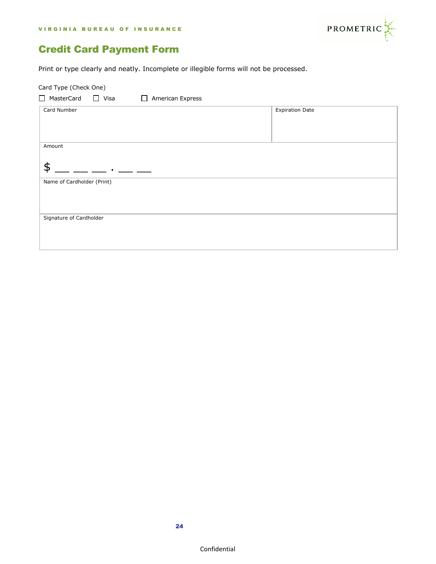![](_page_24_Picture_1.jpeg)

# Credit Card Payment Form

Print or type clearly and neatly. Incomplete or illegible forms will not be processed.

| Card Type (Check One)      |                                  |                        |  |
|----------------------------|----------------------------------|------------------------|--|
| □ MasterCard □ Visa        | American Express<br>$\mathbf{I}$ |                        |  |
| Card Number                |                                  | <b>Expiration Date</b> |  |
| Amount<br>\$               |                                  |                        |  |
| Name of Cardholder (Print) |                                  |                        |  |
| Signature of Cardholder    |                                  |                        |  |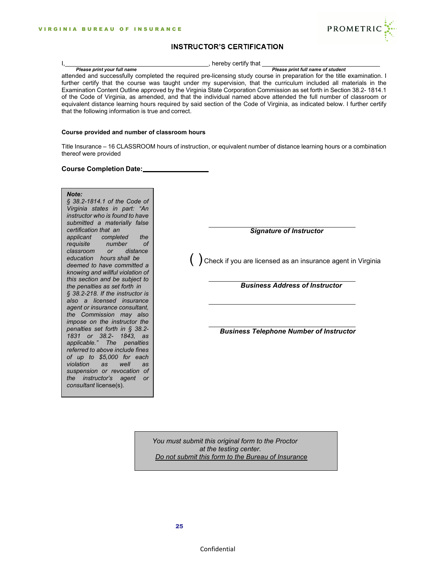![](_page_25_Picture_1.jpeg)

### **INSTRUCTOR'S CERTIFICATION**

| hereby certify that |
|---------------------|

*Please print your full name Please print full name of student*

attended and successfully completed the required pre-licensing study course in preparation for the title examination. I further certify that the course was taught under my supervision, that the curriculum included all materials in the Examination Content Outline approved by the Virginia State Corporation Commission as set forth in Section 38.2- 1814.1 of the Code of Virginia, as amended, and that the individual named above attended the full number of classroom or equivalent distance learning hours required by said section of the Code of Virginia, as indicated below. I further certify that the following information is true and correct.

#### **Course provided and number of classroom hours**

Title Insurance – 16 CLASSROOM hours of instruction, or equivalent number of distance learning hours or a combination thereof were provided

#### **Course Completion Date:**

#### *Note:*

*deemed to have committed a knowing and willful violation of this section and be subject to the penalties as set forth in § 38.2-218. If the instructor is also a licensed insurance agent or insurance consultant, the Commission may also impose on the instructor the penalties set forth in § 38.2- 1831 or 38.2- 1843, as applicable." The penalties referred to above include fines of up to \$5,000 for each violation as well as suspension or revocation of the instructor's agent or consultant* license(s). *or distance hours shall be education the of number completed applicant requisite classroom § 38.2-1814.1 of the Code of Virginia states in part: "An instructor who is found to have submitted a materially false certification that an*

*Signature of Instructor*

( ) Check if you are licensed as an insurance agent in Virginia

*Business Address of Instructor*

*Business Telephone Number of Instructor*

*You must submit this original form to the Proctor at the testing center. Do not submit this form to the Bureau of Insurance*